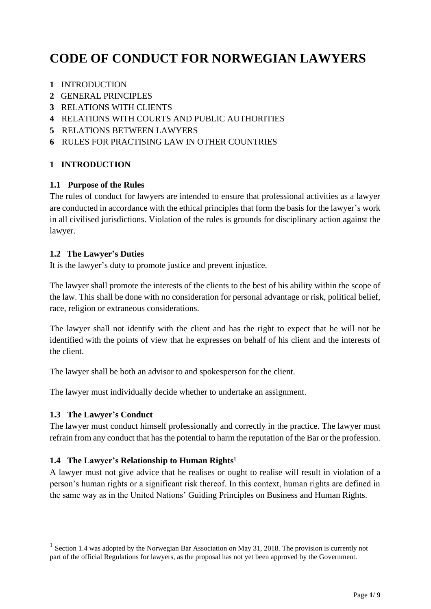# **CODE OF CONDUCT FOR NORWEGIAN LAWYERS**

- **1** INTRODUCTION
- **2** GENERAL PRINCIPLES
- **3** RELATIONS WITH CLIENTS
- **4** RELATIONS WITH COURTS AND PUBLIC AUTHORITIES
- **5** RELATIONS BETWEEN LAWYERS
- **6** RULES FOR PRACTISING LAW IN OTHER COUNTRIES

#### **1 INTRODUCTION**

#### **1.1 Purpose of the Rules**

The rules of conduct for lawyers are intended to ensure that professional activities as a lawyer are conducted in accordance with the ethical principles that form the basis for the lawyer's work in all civilised jurisdictions. Violation of the rules is grounds for disciplinary action against the lawyer.

#### **1.2 The Lawyer's Duties**

It is the lawyer's duty to promote justice and prevent injustice.

The lawyer shall promote the interests of the clients to the best of his ability within the scope of the law. This shall be done with no consideration for personal advantage or risk, political belief, race, religion or extraneous considerations.

The lawyer shall not identify with the client and has the right to expect that he will not be identified with the points of view that he expresses on behalf of his client and the interests of the client.

The lawyer shall be both an advisor to and spokesperson for the client.

The lawyer must individually decide whether to undertake an assignment.

#### **1.3 The Lawyer's Conduct**

The lawyer must conduct himself professionally and correctly in the practice. The lawyer must refrain from any conduct that has the potential to harm the reputation of the Bar or the profession.

#### **1.4 The Lawyer's Relationship to Human Rights<sup>1</sup>**

A lawyer must not give advice that he realises or ought to realise will result in violation of a person's human rights or a significant risk thereof. In this context, human rights are defined in the same way as in the United Nations' Guiding Principles on Business and Human Rights.

<sup>&</sup>lt;sup>1</sup> Section 1.4 was adopted by the Norwegian Bar Association on May 31, 2018. The provision is currently not part of the official Regulations for lawyers, as the proposal has not yet been approved by the Government.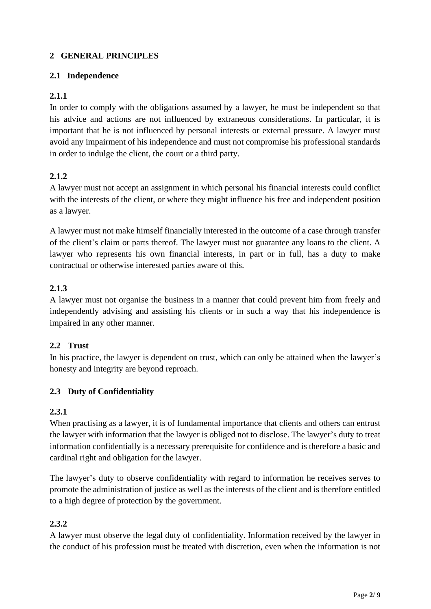### **2 GENERAL PRINCIPLES**

### **2.1 Independence**

### **2.1.1**

In order to comply with the obligations assumed by a lawyer, he must be independent so that his advice and actions are not influenced by extraneous considerations. In particular, it is important that he is not influenced by personal interests or external pressure. A lawyer must avoid any impairment of his independence and must not compromise his professional standards in order to indulge the client, the court or a third party.

### **2.1.2**

A lawyer must not accept an assignment in which personal his financial interests could conflict with the interests of the client, or where they might influence his free and independent position as a lawyer.

A lawyer must not make himself financially interested in the outcome of a case through transfer of the client's claim or parts thereof. The lawyer must not guarantee any loans to the client. A lawyer who represents his own financial interests, in part or in full, has a duty to make contractual or otherwise interested parties aware of this.

### **2.1.3**

A lawyer must not organise the business in a manner that could prevent him from freely and independently advising and assisting his clients or in such a way that his independence is impaired in any other manner.

#### **2.2 Trust**

In his practice, the lawyer is dependent on trust, which can only be attained when the lawyer's honesty and integrity are beyond reproach.

### **2.3 Duty of Confidentiality**

#### **2.3.1**

When practising as a lawyer, it is of fundamental importance that clients and others can entrust the lawyer with information that the lawyer is obliged not to disclose. The lawyer's duty to treat information confidentially is a necessary prerequisite for confidence and is therefore a basic and cardinal right and obligation for the lawyer.

The lawyer's duty to observe confidentiality with regard to information he receives serves to promote the administration of justice as well as the interests of the client and is therefore entitled to a high degree of protection by the government.

#### **2.3.2**

A lawyer must observe the legal duty of confidentiality. Information received by the lawyer in the conduct of his profession must be treated with discretion, even when the information is not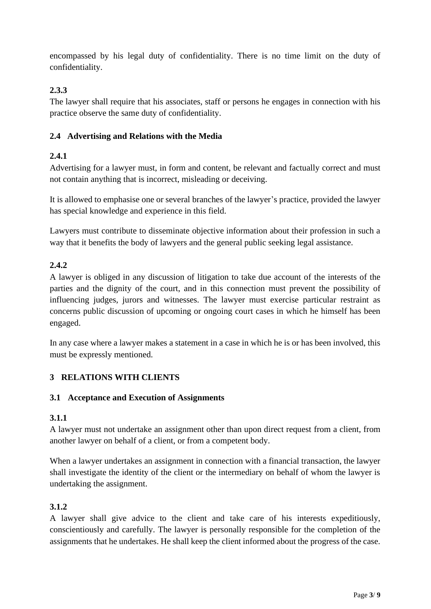encompassed by his legal duty of confidentiality. There is no time limit on the duty of confidentiality.

### **2.3.3**

The lawyer shall require that his associates, staff or persons he engages in connection with his practice observe the same duty of confidentiality.

### **2.4 Advertising and Relations with the Media**

# **2.4.1**

Advertising for a lawyer must, in form and content, be relevant and factually correct and must not contain anything that is incorrect, misleading or deceiving.

It is allowed to emphasise one or several branches of the lawyer's practice, provided the lawyer has special knowledge and experience in this field.

Lawyers must contribute to disseminate objective information about their profession in such a way that it benefits the body of lawyers and the general public seeking legal assistance.

### **2.4.2**

A lawyer is obliged in any discussion of litigation to take due account of the interests of the parties and the dignity of the court, and in this connection must prevent the possibility of influencing judges, jurors and witnesses. The lawyer must exercise particular restraint as concerns public discussion of upcoming or ongoing court cases in which he himself has been engaged.

In any case where a lawyer makes a statement in a case in which he is or has been involved, this must be expressly mentioned.

### **3 RELATIONS WITH CLIENTS**

### **3.1 Acceptance and Execution of Assignments**

### **3.1.1**

A lawyer must not undertake an assignment other than upon direct request from a client, from another lawyer on behalf of a client, or from a competent body.

When a lawyer undertakes an assignment in connection with a financial transaction, the lawyer shall investigate the identity of the client or the intermediary on behalf of whom the lawyer is undertaking the assignment.

# **3.1.2**

A lawyer shall give advice to the client and take care of his interests expeditiously, conscientiously and carefully. The lawyer is personally responsible for the completion of the assignments that he undertakes. He shall keep the client informed about the progress of the case.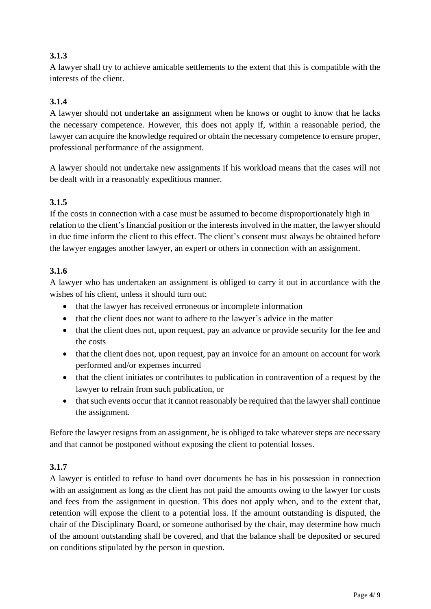# **3.1.3**

A lawyer shall try to achieve amicable settlements to the extent that this is compatible with the interests of the client.

# **3.1.4**

A lawyer should not undertake an assignment when he knows or ought to know that he lacks the necessary competence. However, this does not apply if, within a reasonable period, the lawyer can acquire the knowledge required or obtain the necessary competence to ensure proper, professional performance of the assignment.

A lawyer should not undertake new assignments if his workload means that the cases will not be dealt with in a reasonably expeditious manner.

### **3.1.5**

If the costs in connection with a case must be assumed to become disproportionately high in relation to the client's financial position or the interests involved in the matter, the lawyer should in due time inform the client to this effect. The client's consent must always be obtained before the lawyer engages another lawyer, an expert or others in connection with an assignment.

### **3.1.6**

A lawyer who has undertaken an assignment is obliged to carry it out in accordance with the wishes of his client, unless it should turn out:

- that the lawyer has received erroneous or incomplete information
- that the client does not want to adhere to the lawyer's advice in the matter
- that the client does not, upon request, pay an advance or provide security for the fee and the costs
- that the client does not, upon request, pay an invoice for an amount on account for work performed and/or expenses incurred
- that the client initiates or contributes to publication in contravention of a request by the lawyer to refrain from such publication, or
- that such events occur that it cannot reasonably be required that the lawyer shall continue the assignment.

Before the lawyer resigns from an assignment, he is obliged to take whatever steps are necessary and that cannot be postponed without exposing the client to potential losses.

# **3.1.7**

A lawyer is entitled to refuse to hand over documents he has in his possession in connection with an assignment as long as the client has not paid the amounts owing to the lawyer for costs and fees from the assignment in question. This does not apply when, and to the extent that, retention will expose the client to a potential loss. If the amount outstanding is disputed, the chair of the Disciplinary Board, or someone authorised by the chair, may determine how much of the amount outstanding shall be covered, and that the balance shall be deposited or secured on conditions stipulated by the person in question.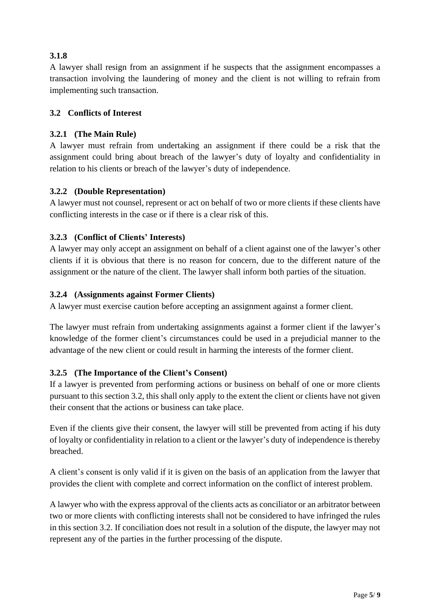## **3.1.8**

A lawyer shall resign from an assignment if he suspects that the assignment encompasses a transaction involving the laundering of money and the client is not willing to refrain from implementing such transaction.

### **3.2 Conflicts of Interest**

### **3.2.1 (The Main Rule)**

A lawyer must refrain from undertaking an assignment if there could be a risk that the assignment could bring about breach of the lawyer's duty of loyalty and confidentiality in relation to his clients or breach of the lawyer's duty of independence.

### **3.2.2 (Double Representation)**

A lawyer must not counsel, represent or act on behalf of two or more clients if these clients have conflicting interests in the case or if there is a clear risk of this.

### **3.2.3 (Conflict of Clients' Interests)**

A lawyer may only accept an assignment on behalf of a client against one of the lawyer's other clients if it is obvious that there is no reason for concern, due to the different nature of the assignment or the nature of the client. The lawyer shall inform both parties of the situation.

#### **3.2.4 (Assignments against Former Clients)**

A lawyer must exercise caution before accepting an assignment against a former client.

The lawyer must refrain from undertaking assignments against a former client if the lawyer's knowledge of the former client's circumstances could be used in a prejudicial manner to the advantage of the new client or could result in harming the interests of the former client.

### **3.2.5 (The Importance of the Client's Consent)**

If a lawyer is prevented from performing actions or business on behalf of one or more clients pursuant to this section 3.2, this shall only apply to the extent the client or clients have not given their consent that the actions or business can take place.

Even if the clients give their consent, the lawyer will still be prevented from acting if his duty of loyalty or confidentiality in relation to a client or the lawyer's duty of independence is thereby breached.

A client's consent is only valid if it is given on the basis of an application from the lawyer that provides the client with complete and correct information on the conflict of interest problem.

A lawyer who with the express approval of the clients acts as conciliator or an arbitrator between two or more clients with conflicting interests shall not be considered to have infringed the rules in this section 3.2. If conciliation does not result in a solution of the dispute, the lawyer may not represent any of the parties in the further processing of the dispute.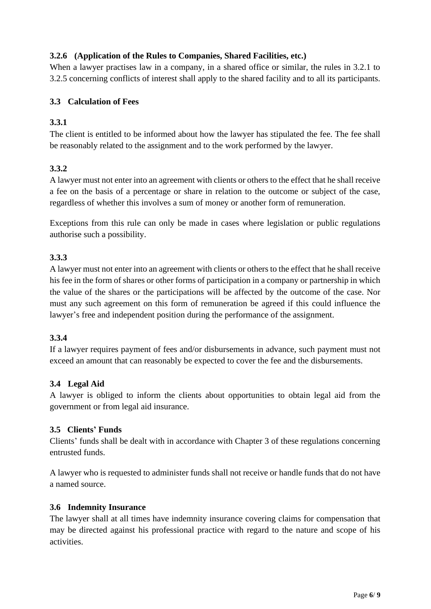### **3.2.6 (Application of the Rules to Companies, Shared Facilities, etc.)**

When a lawyer practises law in a company, in a shared office or similar, the rules in 3.2.1 to 3.2.5 concerning conflicts of interest shall apply to the shared facility and to all its participants.

### **3.3 Calculation of Fees**

### **3.3.1**

The client is entitled to be informed about how the lawyer has stipulated the fee. The fee shall be reasonably related to the assignment and to the work performed by the lawyer.

### **3.3.2**

A lawyer must not enter into an agreement with clients or others to the effect that he shall receive a fee on the basis of a percentage or share in relation to the outcome or subject of the case, regardless of whether this involves a sum of money or another form of remuneration.

Exceptions from this rule can only be made in cases where legislation or public regulations authorise such a possibility.

### **3.3.3**

A lawyer must not enter into an agreement with clients or others to the effect that he shall receive his fee in the form of shares or other forms of participation in a company or partnership in which the value of the shares or the participations will be affected by the outcome of the case. Nor must any such agreement on this form of remuneration be agreed if this could influence the lawyer's free and independent position during the performance of the assignment.

#### **3.3.4**

If a lawyer requires payment of fees and/or disbursements in advance, such payment must not exceed an amount that can reasonably be expected to cover the fee and the disbursements.

#### **3.4 Legal Aid**

A lawyer is obliged to inform the clients about opportunities to obtain legal aid from the government or from legal aid insurance.

#### **3.5 Clients' Funds**

Clients' funds shall be dealt with in accordance with Chapter 3 of these regulations concerning entrusted funds.

A lawyer who is requested to administer funds shall not receive or handle funds that do not have a named source.

#### **3.6 Indemnity Insurance**

The lawyer shall at all times have indemnity insurance covering claims for compensation that may be directed against his professional practice with regard to the nature and scope of his activities.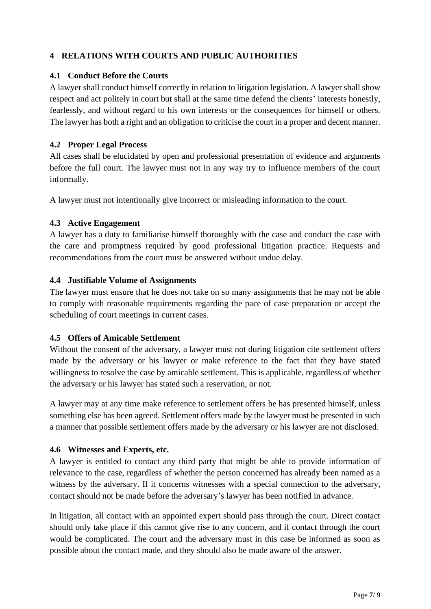### **4 RELATIONS WITH COURTS AND PUBLIC AUTHORITIES**

#### **4.1 Conduct Before the Courts**

A lawyer shall conduct himself correctly in relation to litigation legislation. A lawyer shall show respect and act politely in court but shall at the same time defend the clients' interests honestly, fearlessly, and without regard to his own interests or the consequences for himself or others. The lawyer has both a right and an obligation to criticise the court in a proper and decent manner.

### **4.2 Proper Legal Process**

All cases shall be elucidated by open and professional presentation of evidence and arguments before the full court. The lawyer must not in any way try to influence members of the court informally.

A lawyer must not intentionally give incorrect or misleading information to the court.

### **4.3 Active Engagement**

A lawyer has a duty to familiarise himself thoroughly with the case and conduct the case with the care and promptness required by good professional litigation practice. Requests and recommendations from the court must be answered without undue delay.

### **4.4 Justifiable Volume of Assignments**

The lawyer must ensure that he does not take on so many assignments that he may not be able to comply with reasonable requirements regarding the pace of case preparation or accept the scheduling of court meetings in current cases.

#### **4.5 Offers of Amicable Settlement**

Without the consent of the adversary, a lawyer must not during litigation cite settlement offers made by the adversary or his lawyer or make reference to the fact that they have stated willingness to resolve the case by amicable settlement. This is applicable, regardless of whether the adversary or his lawyer has stated such a reservation, or not.

A lawyer may at any time make reference to settlement offers he has presented himself, unless something else has been agreed. Settlement offers made by the lawyer must be presented in such a manner that possible settlement offers made by the adversary or his lawyer are not disclosed.

#### **4.6 Witnesses and Experts, etc.**

A lawyer is entitled to contact any third party that might be able to provide information of relevance to the case, regardless of whether the person concerned has already been named as a witness by the adversary. If it concerns witnesses with a special connection to the adversary, contact should not be made before the adversary's lawyer has been notified in advance.

In litigation, all contact with an appointed expert should pass through the court. Direct contact should only take place if this cannot give rise to any concern, and if contact through the court would be complicated. The court and the adversary must in this case be informed as soon as possible about the contact made, and they should also be made aware of the answer.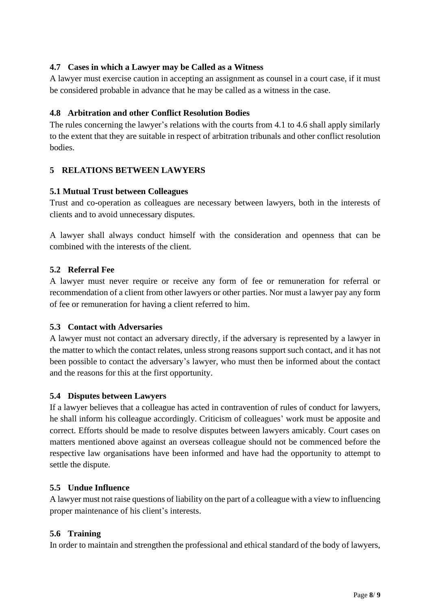### **4.7 Cases in which a Lawyer may be Called as a Witness**

A lawyer must exercise caution in accepting an assignment as counsel in a court case, if it must be considered probable in advance that he may be called as a witness in the case.

### **4.8 Arbitration and other Conflict Resolution Bodies**

The rules concerning the lawyer's relations with the courts from 4.1 to 4.6 shall apply similarly to the extent that they are suitable in respect of arbitration tribunals and other conflict resolution bodies.

### **5 RELATIONS BETWEEN LAWYERS**

#### **5.1 Mutual Trust between Colleagues**

Trust and co-operation as colleagues are necessary between lawyers, both in the interests of clients and to avoid unnecessary disputes.

A lawyer shall always conduct himself with the consideration and openness that can be combined with the interests of the client.

### **5.2 Referral Fee**

A lawyer must never require or receive any form of fee or remuneration for referral or recommendation of a client from other lawyers or other parties. Nor must a lawyer pay any form of fee or remuneration for having a client referred to him.

#### **5.3 Contact with Adversaries**

A lawyer must not contact an adversary directly, if the adversary is represented by a lawyer in the matter to which the contact relates, unless strong reasons support such contact, and it has not been possible to contact the adversary's lawyer, who must then be informed about the contact and the reasons for this at the first opportunity.

#### **5.4 Disputes between Lawyers**

If a lawyer believes that a colleague has acted in contravention of rules of conduct for lawyers, he shall inform his colleague accordingly. Criticism of colleagues' work must be apposite and correct. Efforts should be made to resolve disputes between lawyers amicably. Court cases on matters mentioned above against an overseas colleague should not be commenced before the respective law organisations have been informed and have had the opportunity to attempt to settle the dispute.

#### **5.5 Undue Influence**

A lawyer must not raise questions of liability on the part of a colleague with a view to influencing proper maintenance of his client's interests.

#### **5.6 Training**

In order to maintain and strengthen the professional and ethical standard of the body of lawyers,